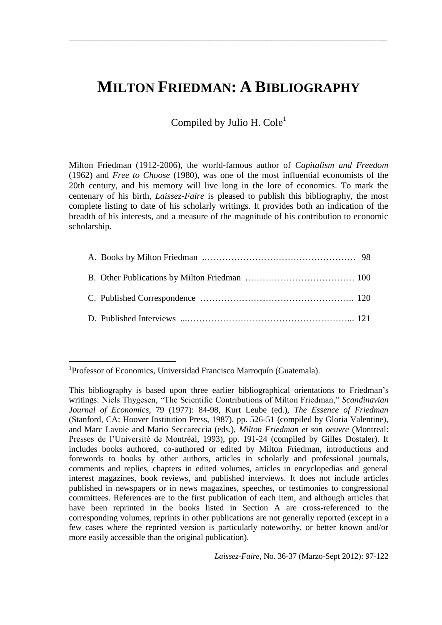## **MILTON FRIEDMAN: A BIBLIOGRAPHY**

 $\mathcal{L}_\text{max}$  , and the contract of the contract of the contract of the contract of the contract of the contract of the contract of the contract of the contract of the contract of the contract of the contract of the contr

Compiled by Julio H.  $Cole<sup>1</sup>$ 

Milton Friedman (1912-2006), the world-famous author of *Capitalism and Freedom* (1962) and *Free to Choose* (1980), was one of the most influential economists of the 20th century, and his memory will live long in the lore of economics. To mark the centenary of his birth, *Laissez-Faire* is pleased to publish this bibliography, the most complete listing to date of his scholarly writings. It provides both an indication of the breadth of his interests, and a measure of the magnitude of his contribution to economic scholarship.

*Laissez-Faire*, No. 36-37 (Marzo-Sept 2012): 97-122

<sup>1</sup> <sup>1</sup>Professor of Economics, Universidad Francisco Marroquín (Guatemala).

This bibliography is based upon three earlier bibliographical orientations to Friedman's writings: Niels Thygesen, "The Scientific Contributions of Milton Friedman," Scandinavian *Journal of Economics*, 79 (1977): 84-98, Kurt Leube (ed.), *The Essence of Friedman* (Stanford, CA: Hoover Institution Press, 1987), pp. 526-51 (compiled by Gloria Valentine), and Marc Lavoie and Mario Seccareccia (eds.), *Milton Friedman et son oeuvre* (Montreal: Presses de l'Université de Montréal, 1993), pp. 191-24 (compiled by Gilles Dostaler). It includes books authored, co-authored or edited by Milton Friedman, introductions and forewords to books by other authors, articles in scholarly and professional journals, comments and replies, chapters in edited volumes, articles in encyclopedias and general interest magazines, book reviews, and published interviews. It does not include articles published in newspapers or in news magazines, speeches, or testimonies to congressional committees. References are to the first publication of each item, and although articles that have been reprinted in the books listed in Section A are cross-referenced to the corresponding volumes, reprints in other publications are not generally reported (except in a few cases where the reprinted version is particularly noteworthy, or better known and/or more easily accessible than the original publication).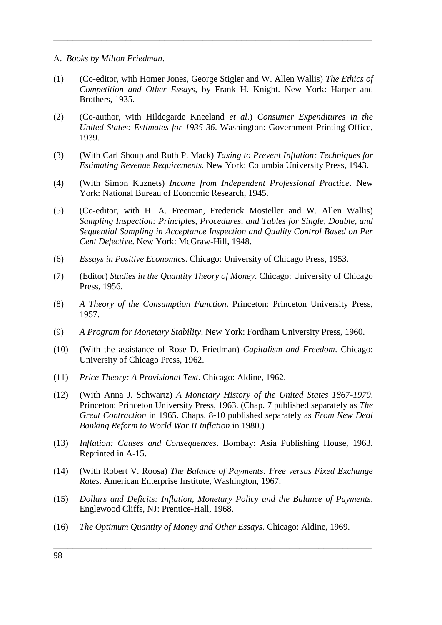- A. *Books by Milton Friedman*.
- (1) (Co-editor, with Homer Jones, George Stigler and W. Allen Wallis) *The Ethics of Competition and Other Essays*, by Frank H. Knight. New York: Harper and Brothers, 1935.

 $\overline{\phantom{a}}$  , and the contract of the contract of the contract of the contract of the contract of the contract of the contract of the contract of the contract of the contract of the contract of the contract of the contrac

- (2) (Co-author, with Hildegarde Kneeland *et al*.) *Consumer Expenditures in the United States: Estimates for 1935-36*. Washington: Government Printing Office, 1939.
- (3) (With Carl Shoup and Ruth P. Mack) *Taxing to Prevent Inflation: Techniques for Estimating Revenue Requirements.* New York: Columbia University Press, 1943.
- (4) (With Simon Kuznets) *Income from Independent Professional Practice*. New York: National Bureau of Economic Research, 1945.
- (5) (Co-editor, with H. A. Freeman, Frederick Mosteller and W. Allen Wallis) *Sampling Inspection: Principles, Procedures, and Tables for Single, Double, and Sequential Sampling in Acceptance Inspection and Quality Control Based on Per Cent Defective*. New York: McGraw-Hill, 1948.
- (6) *Essays in Positive Economics*. Chicago: University of Chicago Press, 1953.
- (7) (Editor) *Studies in the Quantity Theory of Money*. Chicago: University of Chicago Press, 1956.
- (8) *A Theory of the Consumption Function*. Princeton: Princeton University Press, 1957.
- (9) *A Program for Monetary Stability*. New York: Fordham University Press, 1960.
- (10) (With the assistance of Rose D. Friedman) *Capitalism and Freedom*. Chicago: University of Chicago Press, 1962.
- (11) *Price Theory: A Provisional Text*. Chicago: Aldine, 1962.
- (12) (With Anna J. Schwartz) *A Monetary History of the United States 1867-1970*. Princeton: Princeton University Press, 1963. (Chap. 7 published separately as *The Great Contraction* in 1965. Chaps. 8-10 published separately as *From New Deal Banking Reform to World War II Inflation* in 1980.)
- (13) *Inflation: Causes and Consequences*. Bombay: Asia Publishing House, 1963. Reprinted in A-15.
- (14) (With Robert V. Roosa) *The Balance of Payments: Free versus Fixed Exchange Rates*. American Enterprise Institute, Washington, 1967.
- (15) *Dollars and Deficits: Inflation, Monetary Policy and the Balance of Payments*. Englewood Cliffs, NJ: Prentice-Hall, 1968.

 $\overline{\phantom{a}}$  , and the contract of the contract of the contract of the contract of the contract of the contract of the contract of the contract of the contract of the contract of the contract of the contract of the contrac

(16) *The Optimum Quantity of Money and Other Essays*. Chicago: Aldine, 1969.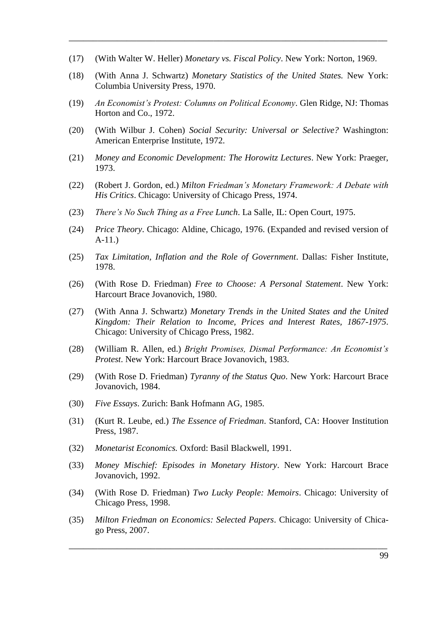- (17) (With Walter W. Heller) *Monetary vs. Fiscal Policy*. New York: Norton, 1969.
- (18) (With Anna J. Schwartz) *Monetary Statistics of the United States.* New York: Columbia University Press, 1970.

 $\mathcal{L}_\text{max}$  , and the contract of the contract of the contract of the contract of the contract of the contract of the contract of the contract of the contract of the contract of the contract of the contract of the contr

- (19) *An Economist's Protest: Columns on Political Economy*. Glen Ridge, NJ: Thomas Horton and Co., 1972.
- (20) (With Wilbur J. Cohen) *Social Security: Universal or Selective?* Washington: American Enterprise Institute, 1972.
- (21) *Money and Economic Development: The Horowitz Lectures*. New York: Praeger, 1973.
- (22) (Robert J. Gordon, ed.) *Milton Friedman's Monetary Framework: A Debate with His Critics*. Chicago: University of Chicago Press, 1974.
- (23) *There's No Such Thing as a Free Lunch*. La Salle, IL: Open Court, 1975.
- (24) *Price Theory*. Chicago: Aldine, Chicago, 1976. (Expanded and revised version of A-11.)
- (25) *Tax Limitation, Inflation and the Role of Government*. Dallas: Fisher Institute, 1978.
- (26) (With Rose D. Friedman) *Free to Choose: A Personal Statement*. New York: Harcourt Brace Jovanovich, 1980.
- (27) (With Anna J. Schwartz) *Monetary Trends in the United States and the United Kingdom: Their Relation to Income, Prices and Interest Rates, 1867-1975*. Chicago: University of Chicago Press, 1982.
- (28) (William R. Allen, ed.) *Bright Promises, Dismal Performance: An Economist's Protest*. New York: Harcourt Brace Jovanovich, 1983.
- (29) (With Rose D. Friedman) *Tyranny of the Status Quo*. New York: Harcourt Brace Jovanovich, 1984.
- (30) *Five Essays*. Zurich: Bank Hofmann AG, 1985.
- (31) (Kurt R. Leube, ed.) *The Essence of Friedman*. Stanford, CA: Hoover Institution Press, 1987.
- (32) *Monetarist Economics.* Oxford: Basil Blackwell, 1991.
- (33) *Money Mischief: Episodes in Monetary History*. New York: Harcourt Brace Jovanovich, 1992.
- (34) (With Rose D. Friedman) *Two Lucky People: Memoirs*. Chicago: University of Chicago Press, 1998.
- (35) *Milton Friedman on Economics: Selected Papers*. Chicago: University of Chicago Press, 2007.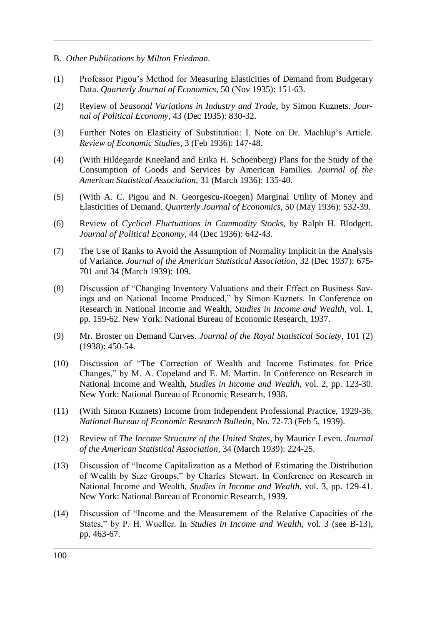- B. *Other Publications by Milton Friedman.*
- (1) Professor Pigou's Method for Measuring Elasticities of Demand from Budgetary Data. *Quarterly Journal of Economics*, 50 (Nov 1935): 151-63.

 $\overline{\phantom{a}}$  , and the contract of the contract of the contract of the contract of the contract of the contract of the contract of the contract of the contract of the contract of the contract of the contract of the contrac

- (2) Review of *Seasonal Variations in Industry and Trade*, by Simon Kuznets. *Journal of Political Economy*, 43 (Dec 1935): 830-32.
- (3) Further Notes on Elasticity of Substitution: I. Note on Dr. Machlup's Article. *Review of Economic Studies*, 3 (Feb 1936): 147-48.
- (4) (With Hildegarde Kneeland and Erika H. Schoenberg) Plans for the Study of the Consumption of Goods and Services by American Families. *Journal of the American Statistical Association,* 31 (March 1936): 135-40.
- (5) (With A. C. Pigou and N. Georgescu-Roegen) Marginal Utility of Money and Elasticities of Demand. *Quarterly Journal of Economics*, 50 (May 1936): 532-39.
- (6) Review of *Cyclical Fluctuations in Commodity Stocks*, by Ralph H. Blodgett. *Journal of Political Economy*, 44 (Dec 1936): 642-43.
- (7) The Use of Ranks to Avoid the Assumption of Normality Implicit in the Analysis of Variance. *Journal of the American Statistical Association*, 32 (Dec 1937): 675- 701 and 34 (March 1939): 109.
- (8) Discussion of "Changing Inventory Valuations and their Effect on Business Savings and on National Income Produced," by Simon Kuznets. In Conference on Research in National Income and Wealth, *Studies in Income and Wealth*, vol. 1, pp. 159-62. New York: National Bureau of Economic Research, 1937.
- (9) Mr. Broster on Demand Curves. *Journal of the Royal Statistical Society*, 101 (2) (1938): 450-54.
- (10) Discussion of "The Correction of Wealth and Income Estimates for Price Changes," by M. A. Copeland and E. M. Martin. In Conference on Research in National Income and Wealth, *Studies in Income and Wealth*, vol. 2, pp. 123-30. New York: National Bureau of Economic Research, 1938.
- (11) (With Simon Kuznets) Income from Independent Professional Practice, 1929-36. *National Bureau of Economic Research Bulletin*, No. 72-73 (Feb 5, 1939).
- (12) Review of *The Income Structure of the United States*, by Maurice Leven. *Journal of the American Statistical Association*, 34 (March 1939): 224-25.
- (13) Discussion of "Income Capitalization as a Method of Estimating the Distribution of Wealth by Size Groups," by Charles Stewart. In Conference on Research in National Income and Wealth, *Studies in Income and Wealth*, vol. 3, pp. 129-41. New York: National Bureau of Economic Research, 1939.
- (14) Discussion of "Income and the Measurement of the Relative Capacities of the States," by P. H. Wueller. In *Studies in Income and Wealth*, vol. 3 (see B-13), pp. 463-67.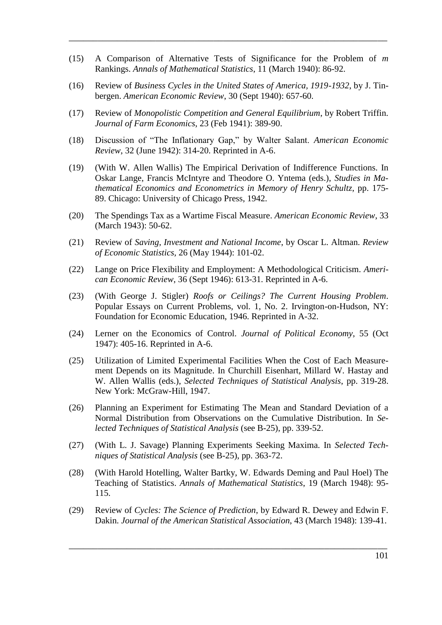(15) A Comparison of Alternative Tests of Significance for the Problem of *m* Rankings. *Annals of Mathematical Statistics*, 11 (March 1940): 86-92.

 $\mathcal{L}_\text{max}$  , and the contract of the contract of the contract of the contract of the contract of the contract of the contract of the contract of the contract of the contract of the contract of the contract of the contr

- (16) Review of *Business Cycles in the United States of America, 1919-1932*, by J. Tinbergen. *American Economic Review*, 30 (Sept 1940): 657-60.
- (17) Review of *Monopolistic Competition and General Equilibrium*, by Robert Triffin. *Journal of Farm Economics*, 23 (Feb 1941): 389-90.
- (18) Discussion of "The Inflationary Gap," by Walter Salant. *American Economic Review*, 32 (June 1942): 314-20. Reprinted in A-6.
- (19) (With W. Allen Wallis) The Empirical Derivation of Indifference Functions. In Oskar Lange, Francis McIntyre and Theodore O. Yntema (eds.), *Studies in Mathematical Economics and Econometrics in Memory of Henry Schultz*, pp. 175- 89. Chicago: University of Chicago Press, 1942.
- (20) The Spendings Tax as a Wartime Fiscal Measure. *American Economic Review*, 33 (March 1943): 50-62.
- (21) Review of *Saving, Investment and National Income*, by Oscar L. Altman. *Review of Economic Statistics,* 26 (May 1944): 101-02.
- (22) Lange on Price Flexibility and Employment: A Methodological Criticism. *American Economic Review*, 36 (Sept 1946): 613-31. Reprinted in A-6.
- (23) (With George J. Stigler) *Roofs or Ceilings? The Current Housing Problem*. Popular Essays on Current Problems, vol. 1, No. 2. Irvington-on-Hudson, NY: Foundation for Economic Education, 1946. Reprinted in A-32.
- (24) Lerner on the Economics of Control. *Journal of Political Economy*, 55 (Oct 1947): 405-16. Reprinted in A-6.
- (25) Utilization of Limited Experimental Facilities When the Cost of Each Measurement Depends on its Magnitude. In Churchill Eisenhart, Millard W. Hastay and W. Allen Wallis (eds.), *Selected Techniques of Statistical Analysis*, pp. 319-28. New York: McGraw-Hill, 1947.
- (26) Planning an Experiment for Estimating The Mean and Standard Deviation of a Normal Distribution from Observations on the Cumulative Distribution. In *Selected Techniques of Statistical Analysis* (see B-25), pp. 339-52.
- (27) (With L. J. Savage) Planning Experiments Seeking Maxima. In *Selected Techniques of Statistical Analysis* (see B-25), pp. 363-72.
- (28) (With Harold Hotelling, Walter Bartky, W. Edwards Deming and Paul Hoel) The Teaching of Statistics. *Annals of Mathematical Statistics*, 19 (March 1948): 95- 115.
- (29) Review of *Cycles: The Science of Prediction*, by Edward R. Dewey and Edwin F. Dakin. *Journal of the American Statistical Association*, 43 (March 1948): 139-41.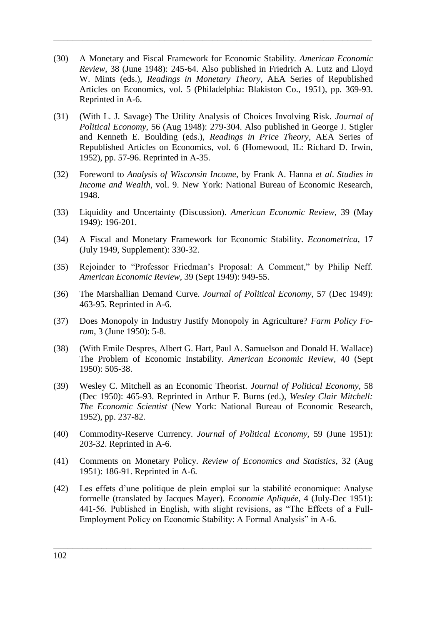(30) A Monetary and Fiscal Framework for Economic Stability. *American Economic Review*, 38 (June 1948): 245-64. Also published in Friedrich A. Lutz and Lloyd W. Mints (eds.), *Readings in Monetary Theory*, AEA Series of Republished Articles on Economics, vol. 5 (Philadelphia: Blakiston Co., 1951), pp. 369-93. Reprinted in A-6.

 $\overline{\phantom{a}}$  , and the contract of the contract of the contract of the contract of the contract of the contract of the contract of the contract of the contract of the contract of the contract of the contract of the contrac

- (31) (With L. J. Savage) The Utility Analysis of Choices Involving Risk. *Journal of Political Economy*, 56 (Aug 1948): 279-304. Also published in George J. Stigler and Kenneth E. Boulding (eds.), *Readings in Price Theory*, AEA Series of Republished Articles on Economics, vol. 6 (Homewood, IL: Richard D. Irwin, 1952), pp. 57-96. Reprinted in A-35.
- (32) Foreword to *Analysis of Wisconsin Income*, by Frank A. Hanna *et al*. *Studies in Income and Wealth*, vol. 9. New York: National Bureau of Economic Research, 1948.
- (33) Liquidity and Uncertainty (Discussion). *American Economic Review*, 39 (May 1949): 196-201.
- (34) A Fiscal and Monetary Framework for Economic Stability. *Econometrica*, 17 (July 1949, Supplement): 330-32.
- (35) Rejoinder to "Professor Friedman's Proposal: A Comment," by Philip Neff. *American Economic Review*, 39 (Sept 1949): 949-55.
- (36) The Marshallian Demand Curve. *Journal of Political Economy*, 57 (Dec 1949): 463-95. Reprinted in A-6.
- (37) Does Monopoly in Industry Justify Monopoly in Agriculture? *Farm Policy Forum*, 3 (June 1950): 5-8.
- (38) (With Emile Despres, Albert G. Hart, Paul A. Samuelson and Donald H. Wallace) The Problem of Economic Instability. *American Economic Review*, 40 (Sept 1950): 505-38.
- (39) Wesley C. Mitchell as an Economic Theorist. *Journal of Political Economy,* 58 (Dec 1950): 465-93. Reprinted in Arthur F. Burns (ed.), *Wesley Clair Mitchell: The Economic Scientist* (New York: National Bureau of Economic Research, 1952), pp. 237-82.
- (40) Commodity-Reserve Currency. *Journal of Political Economy,* 59 (June 1951): 203-32. Reprinted in A-6.
- (41) Comments on Monetary Policy. *Review of Economics and Statistics*, 32 (Aug 1951): 186-91. Reprinted in A-6.
- (42) Les effets d'une politique de plein emploi sur la stabilité economique: Analyse formelle (translated by Jacques Mayer). *Economie Apliquée*, 4 (July-Dec 1951): 441-56. Published in English, with slight revisions, as "The Effects of a Full-Employment Policy on Economic Stability: A Formal Analysis" in A-6.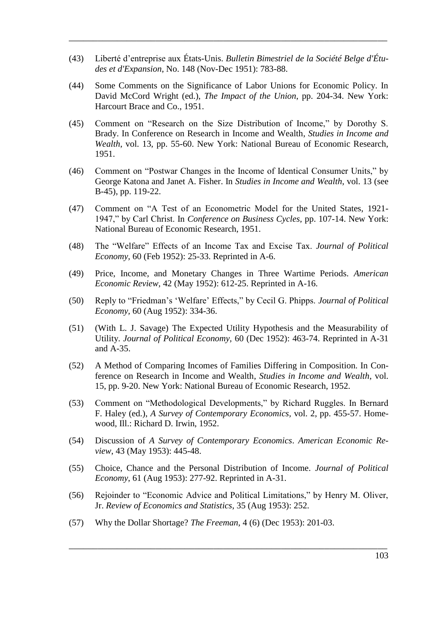(43) Liberté d'entreprise aux États-Unis. *Bulletin Bimestriel de la Société Belge d'Études et d'Expansion*, No. 148 (Nov-Dec 1951): 783-88.

 $\mathcal{L}_\text{max}$  , and the contract of the contract of the contract of the contract of the contract of the contract of the contract of the contract of the contract of the contract of the contract of the contract of the contr

- (44) Some Comments on the Significance of Labor Unions for Economic Policy. In David McCord Wright (ed.), *The Impact of the Union*, pp. 204-34. New York: Harcourt Brace and Co., 1951.
- (45) Comment on "Research on the Size Distribution of Income," by Dorothy S. Brady. In Conference on Research in Income and Wealth, *Studies in Income and Wealth*, vol. 13, pp. 55-60. New York: National Bureau of Economic Research, 1951.
- (46) Comment on "Postwar Changes in the Income of Identical Consumer Units," by George Katona and Janet A. Fisher. In *Studies in Income and Wealth*, vol. 13 (see B-45), pp. 119-22.
- (47) Comment on "A Test of an Econometric Model for the United States, 1921-1947," by Carl Christ. In *Conference on Business Cycles*, pp. 107-14. New York: National Bureau of Economic Research, 1951.
- (48) The "Welfare" Effects of an Income Tax and Excise Tax. *Journal of Political Economy,* 60 (Feb 1952): 25-33. Reprinted in A-6.
- (49) Price, Income, and Monetary Changes in Three Wartime Periods. *American Economic Review,* 42 (May 1952): 612-25. Reprinted in A-16.
- (50) Reply to "Friedman's 'Welfare' Effects," by Cecil G. Phipps. *Journal of Political Economy,* 60 (Aug 1952): 334-36.
- (51) (With L. J. Savage) The Expected Utility Hypothesis and the Measurability of Utility. *Journal of Political Economy,* 60 (Dec 1952): 463-74. Reprinted in A-31 and A-35.
- (52) A Method of Comparing Incomes of Families Differing in Composition. In Conference on Research in Income and Wealth, *Studies in Income and Wealth*, vol. 15, pp. 9-20. New York: National Bureau of Economic Research, 1952.
- (53) Comment on "Methodological Developments," by Richard Ruggles. In Bernard F. Haley (ed.), *A Survey of Contemporary Economics,* vol. 2, pp. 455-57. Homewood, Ill.: Richard D. Irwin, 1952.
- (54) Discussion of *A Survey of Contemporary Economics*. *American Economic Review*, 43 (May 1953): 445-48.
- (55) Choice, Chance and the Personal Distribution of Income. *Journal of Political Economy*, 61 (Aug 1953): 277-92. Reprinted in A-31.
- (56) Rejoinder to "Economic Advice and Political Limitations," by Henry M. Oliver, Jr. *Review of Economics and Statistics*, 35 (Aug 1953): 252.

 $\overline{\phantom{a}}$  , and the contract of the contract of the contract of the contract of the contract of the contract of the contract of the contract of the contract of the contract of the contract of the contract of the contrac

(57) Why the Dollar Shortage? *The Freeman*, 4 (6) (Dec 1953): 201-03.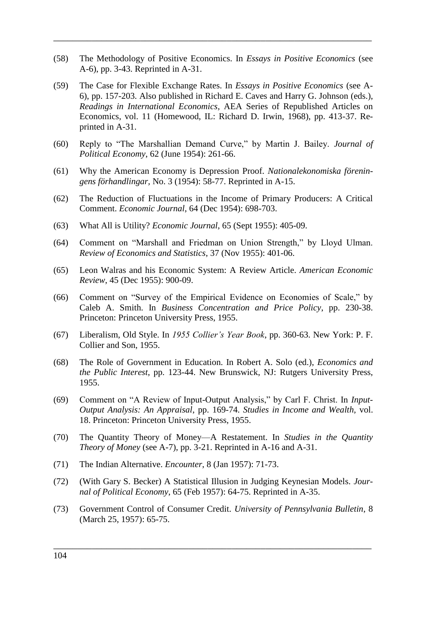(58) The Methodology of Positive Economics. In *Essays in Positive Economics* (see A-6), pp. 3-43. Reprinted in A-31.

 $\overline{\phantom{a}}$  , and the contract of the contract of the contract of the contract of the contract of the contract of the contract of the contract of the contract of the contract of the contract of the contract of the contrac

- (59) The Case for Flexible Exchange Rates. In *Essays in Positive Economics* (see A-6), pp. 157-203. Also published in Richard E. Caves and Harry G. Johnson (eds.), *Readings in International Economics*, AEA Series of Republished Articles on Economics, vol. 11 (Homewood, IL: Richard D. Irwin, 1968), pp. 413-37. Reprinted in A-31.
- (60) Reply to "The Marshallian Demand Curve," by Martin J. Bailey. *Journal of Political Economy*, 62 (June 1954): 261-66.
- (61) Why the American Economy is Depression Proof. *Nationalekonomiska föreningens förhandlingar,* No. 3 (1954): 58-77. Reprinted in A-15.
- (62) The Reduction of Fluctuations in the Income of Primary Producers: A Critical Comment. *Economic Journal*, 64 (Dec 1954): 698-703.
- (63) What All is Utility? *Economic Journal*, 65 (Sept 1955): 405-09.
- (64) Comment on "Marshall and Friedman on Union Strength," by Lloyd Ulman. *Review of Economics and Statistics*, 37 (Nov 1955): 401-06.
- (65) Leon Walras and his Economic System: A Review Article. *American Economic Review*, 45 (Dec 1955): 900-09.
- (66) Comment on "Survey of the Empirical Evidence on Economies of Scale," by Caleb A. Smith. In *Business Concentration and Price Policy*, pp. 230-38. Princeton: Princeton University Press, 1955.
- (67) Liberalism, Old Style. In *1955 Collier's Year Book*, pp. 360-63. New York: P. F. Collier and Son, 1955.
- (68) The Role of Government in Education. In Robert A. Solo (ed.), *Economics and the Public Interest*, pp. 123-44. New Brunswick, NJ: Rutgers University Press, 1955.
- (69) Comment on "A Review of Input-Output Analysis," by Carl F. Christ. In *Input-Output Analysis: An Appraisal*, pp. 169-74. *Studies in Income and Wealth,* vol. 18. Princeton: Princeton University Press, 1955.
- (70) The Quantity Theory of Money—A Restatement. In *Studies in the Quantity Theory of Money* (see A-7), pp. 3-21. Reprinted in A-16 and A-31.
- (71) The Indian Alternative. *Encounter*, 8 (Jan 1957): 71-73.
- (72) (With Gary S. Becker) A Statistical Illusion in Judging Keynesian Models. *Journal of Political Economy*, 65 (Feb 1957): 64-75. Reprinted in A-35.
- (73) Government Control of Consumer Credit. *University of Pennsylvania Bulletin*, 8 (March 25, 1957): 65-75.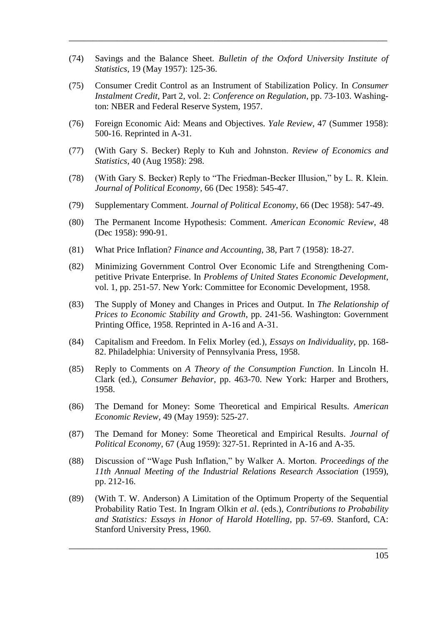(74) Savings and the Balance Sheet. *Bulletin of the Oxford University Institute of Statistics*, 19 (May 1957): 125-36.

 $\mathcal{L}_\text{max}$  , and the contract of the contract of the contract of the contract of the contract of the contract of the contract of the contract of the contract of the contract of the contract of the contract of the contr

- (75) Consumer Credit Control as an Instrument of Stabilization Policy. In *Consumer Instalment Credit*, Part 2, vol. 2: *Conference on Regulation*, pp. 73-103. Washington: NBER and Federal Reserve System, 1957.
- (76) Foreign Economic Aid: Means and Objectives. *Yale Review*, 47 (Summer 1958): 500-16. Reprinted in A-31.
- (77) (With Gary S. Becker) Reply to Kuh and Johnston. *Review of Economics and Statistics*, 40 (Aug 1958): 298.
- (78) (With Gary S. Becker) Reply to "The Friedman-Becker Illusion," by L. R. Klein. *Journal of Political Economy*, 66 (Dec 1958): 545-47.
- (79) Supplementary Comment. *Journal of Political Economy*, 66 (Dec 1958): 547-49.
- (80) The Permanent Income Hypothesis: Comment. *American Economic Review*, 48 (Dec 1958): 990-91.
- (81) What Price Inflation? *Finance and Accounting*, 38, Part 7 (1958): 18-27.
- (82) Minimizing Government Control Over Economic Life and Strengthening Competitive Private Enterprise. In *Problems of United States Economic Development*, vol. 1, pp. 251-57. New York: Committee for Economic Development, 1958.
- (83) The Supply of Money and Changes in Prices and Output. In *The Relationship of Prices to Economic Stability and Growth*, pp. 241-56. Washington: Government Printing Office, 1958. Reprinted in A-16 and A-31.
- (84) Capitalism and Freedom. In Felix Morley (ed.), *Essays on Individuality*, pp. 168- 82. Philadelphia: University of Pennsylvania Press, 1958.
- (85) Reply to Comments on *A Theory of the Consumption Function*. In Lincoln H. Clark (ed.), *Consumer Behavior*, pp. 463-70. New York: Harper and Brothers, 1958.
- (86) The Demand for Money: Some Theoretical and Empirical Results. *American Economic Review*, 49 (May 1959): 525-27.
- (87) The Demand for Money: Some Theoretical and Empirical Results. *Journal of Political Economy*, 67 (Aug 1959): 327-51. Reprinted in A-16 and A-35.
- (88) Discussion of "Wage Push Inflation," by Walker A. Morton. *Proceedings of the 11th Annual Meeting of the Industrial Relations Research Association* (1959), pp. 212-16.
- (89) (With T. W. Anderson) A Limitation of the Optimum Property of the Sequential Probability Ratio Test. In Ingram Olkin *et al*. (eds.), *Contributions to Probability and Statistics: Essays in Honor of Harold Hotelling*, pp. 57-69. Stanford, CA: Stanford University Press, 1960.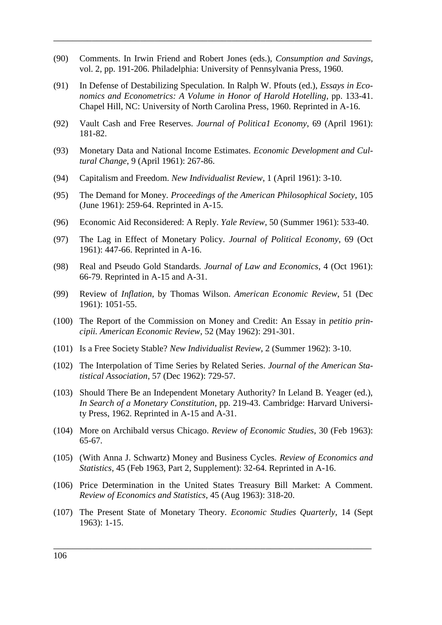(90) Comments. In Irwin Friend and Robert Jones (eds.), *Consumption and Savings*, vol. 2, pp. 191-206. Philadelphia: University of Pennsylvania Press, 1960.

 $\overline{\phantom{a}}$  , and the contract of the contract of the contract of the contract of the contract of the contract of the contract of the contract of the contract of the contract of the contract of the contract of the contrac

- (91) In Defense of Destabilizing Speculation. In Ralph W. Pfouts (ed.), *Essays in Economics and Econometrics: A Volume in Honor of Harold Hotelling*, pp. 133-41. Chapel Hill, NC: University of North Carolina Press, 1960. Reprinted in A-16.
- (92) Vault Cash and Free Reserves. *Journal of Politica1 Economy*, 69 (April 1961): 181-82.
- (93) Monetary Data and National Income Estimates. *Economic Development and Cultural Change*, 9 (April 1961): 267-86.
- (94) Capitalism and Freedom. *New Individualist Review*, 1 (April 1961): 3-10.
- (95) The Demand for Money. *Proceedings of the American Philosophical Society*, 105 (June 1961): 259-64. Reprinted in A-15.
- (96) Economic Aid Reconsidered: A Reply. *Yale Review*, 50 (Summer 1961): 533-40.
- (97) The Lag in Effect of Monetary Policy. *Journal of Political Economy*, 69 (Oct 1961): 447-66. Reprinted in A-16.
- (98) Real and Pseudo Gold Standards. *Journal of Law and Economics*, 4 (Oct 1961): 66-79. Reprinted in A-15 and A-31.
- (99) Review of *Inflation*, by Thomas Wilson. *American Economic Review*, 51 (Dec 1961): 1051-55.
- (100) The Report of the Commission on Money and Credit: An Essay in *petitio principii. American Economic Review*, 52 (May 1962): 291-301.
- (101) Is a Free Society Stable? *New Individualist Review*, 2 (Summer 1962): 3-10.
- (102) The Interpolation of Time Series by Related Series. *Journal of the American Statistical Association*, 57 (Dec 1962): 729-57.
- (103) Should There Be an Independent Monetary Authority? In Leland B. Yeager (ed.), *In Search of a Monetary Constitution*, pp. 219-43. Cambridge: Harvard University Press, 1962. Reprinted in A-15 and A-31.
- (104) More on Archibald versus Chicago. *Review of Economic Studies*, 30 (Feb 1963): 65-67.
- (105) (With Anna J. Schwartz) Money and Business Cycles. *Review of Economics and Statistics*, 45 (Feb 1963, Part 2, Supplement): 32-64. Reprinted in A-16.
- (106) Price Determination in the United States Treasury Bill Market: A Comment. *Review of Economics and Statistics*, 45 (Aug 1963): 318-20.
- (107) The Present State of Monetary Theory. *Economic Studies Quarterly*, 14 (Sept 1963): 1-15.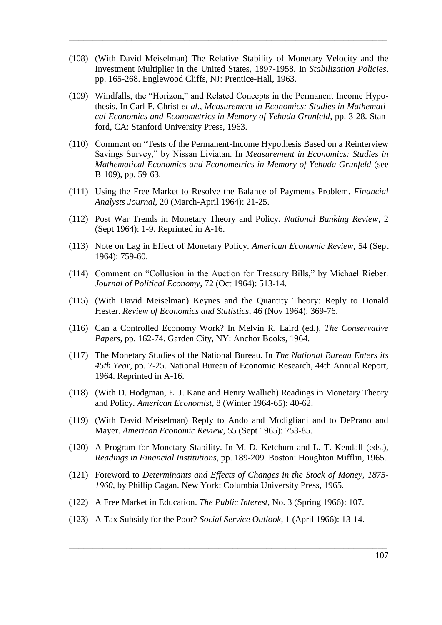(108) (With David Meiselman) The Relative Stability of Monetary Velocity and the Investment Multiplier in the United States, 1897-1958. In *Stabilization Policies*, pp. 165-268. Englewood Cliffs, NJ: Prentice-Hall, 1963.

 $\mathcal{L}_\text{max}$  , and the contract of the contract of the contract of the contract of the contract of the contract of the contract of the contract of the contract of the contract of the contract of the contract of the contr

- (109) Windfalls, the "Horizon," and Related Concepts in the Permanent Income Hypothesis. In Carl F. Christ *et al*., *Measurement in Economics: Studies in Mathematical Economics and Econometrics in Memory of Yehuda Grunfeld*, pp. 3-28. Stanford, CA: Stanford University Press, 1963.
- (110) Comment on "Tests of the Permanent-Income Hypothesis Based on a Reinterview Savings Survey," by Nissan Liviatan. In *Measurement in Economics: Studies in Mathematical Economics and Econometrics in Memory of Yehuda Grunfeld* (see B-109), pp. 59-63.
- (111) Using the Free Market to Resolve the Balance of Payments Problem. *Financial Analysts Journal*, 20 (March-April 1964): 21-25.
- (112) Post War Trends in Monetary Theory and Policy. *National Banking Review*, 2 (Sept 1964): 1-9. Reprinted in A-16.
- (113) Note on Lag in Effect of Monetary Policy. *American Economic Review*, 54 (Sept 1964): 759-60.
- (114) Comment on "Collusion in the Auction for Treasury Bills," by Michael Rieber. *Journal of Political Economy*, 72 (Oct 1964): 513-14.
- (115) (With David Meiselman) Keynes and the Quantity Theory: Reply to Donald Hester. *Review of Economics and Statistics*, 46 (Nov 1964): 369-76.
- (116) Can a Controlled Economy Work? In Melvin R. Laird (ed.), *The Conservative Papers*, pp. 162-74. Garden City, NY: Anchor Books, 1964.
- (117) The Monetary Studies of the National Bureau. In *The National Bureau Enters its 45th Year*, pp. 7-25. National Bureau of Economic Research, 44th Annual Report, 1964. Reprinted in A-16.
- (118) (With D. Hodgman, E. J. Kane and Henry Wallich) Readings in Monetary Theory and Policy. *American Economist*, 8 (Winter 1964-65): 40-62.
- (119) (With David Meiselman) Reply to Ando and Modigliani and to DePrano and Mayer. *American Economic Review*, 55 (Sept 1965): 753-85.
- (120) A Program for Monetary Stability. In M. D. Ketchum and L. T. Kendall (eds.), *Readings in Financial Institutions*, pp. 189-209. Boston: Houghton Mifflin, 1965.
- (121) Foreword to *Determinants and Effects of Changes in the Stock of Money*, *1875- 1960*, by Phillip Cagan. New York: Columbia University Press, 1965.

- (122) A Free Market in Education. *The Public Interest*, No. 3 (Spring 1966): 107.
- (123) A Tax Subsidy for the Poor? *Social Service Outlook*, 1 (April 1966): 13-14.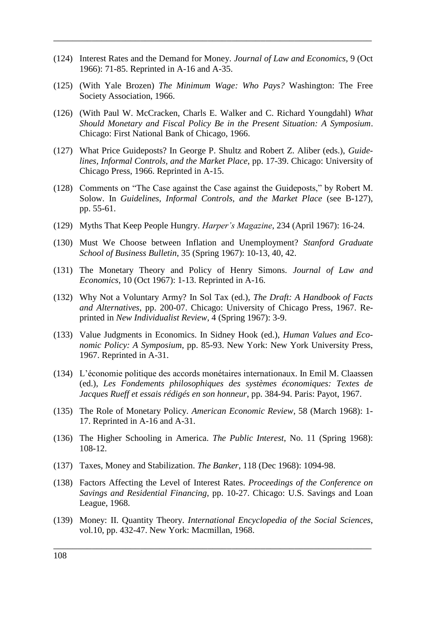(124) Interest Rates and the Demand for Money. *Journal of Law and Economics*, 9 (Oct 1966): 71-85. Reprinted in A-16 and A-35.

 $\overline{\phantom{a}}$  , and the contract of the contract of the contract of the contract of the contract of the contract of the contract of the contract of the contract of the contract of the contract of the contract of the contrac

- (125) (With Yale Brozen) *The Minimum Wage: Who Pays?* Washington: The Free Society Association, 1966.
- (126) (With Paul W. McCracken, Charls E. Walker and C. Richard Youngdahl) *What Should Monetary and Fiscal Policy Be in the Present Situation: A Symposium*. Chicago: First National Bank of Chicago, 1966.
- (127) What Price Guideposts? In George P. Shultz and Robert Z. Aliber (eds.), *Guidelines, Informal Controls, and the Market Place*, pp. 17-39. Chicago: University of Chicago Press, 1966. Reprinted in A-15.
- (128) Comments on "The Case against the Case against the Guideposts," by Robert M. Solow. In *Guidelines, Informal Controls, and the Market Place* (see B-127), pp. 55-61.
- (129) Myths That Keep People Hungry. *Harper's Magazine*, 234 (April 1967): 16-24.
- (130) Must We Choose between Inflation and Unemployment? *Stanford Graduate School of Business Bulletin*, 35 (Spring 1967): 10-13, 40, 42.
- (131) The Monetary Theory and Policy of Henry Simons. *Journal of Law and Economics*, 10 (Oct 1967): 1-13. Reprinted in A-16.
- (132) Why Not a Voluntary Army? In Sol Tax (ed.), *The Draft: A Handbook of Facts and Alternatives*, pp. 200-07. Chicago: University of Chicago Press, 1967. Reprinted in *New Individualist Review*, 4 (Spring 1967): 3-9.
- (133) Value Judgments in Economics. In Sidney Hook (ed.), *Human Values and Economic Policy: A Symposium*, pp. 85-93. New York: New York University Press, 1967. Reprinted in A-31.
- (134) L'économie politique des accords monétaires internationaux. In Emil M. Claassen (ed.), *Les Fondements philosophiques des systèmes économiques: Textes de Jacques Rueff et essais rédigés en son honneur*, pp. 384-94. Paris: Payot, 1967.
- (135) The Role of Monetary Policy. *American Economic Review*, 58 (March 1968): 1- 17. Reprinted in A-16 and A-31.
- (136) The Higher Schooling in America. *The Public Interest*, No. 11 (Spring 1968): 108-12.
- (137) Taxes, Money and Stabilization. *The Banker*, 118 (Dec 1968): 1094-98.
- (138) Factors Affecting the Level of Interest Rates. *Proceedings of the Conference on Savings and Residential Financing*, pp. 10-27. Chicago: U.S. Savings and Loan League, 1968.
- (139) Money: II. Quantity Theory. *International Encyclopedia of the Social Sciences*, vol.10, pp. 432-47. New York: Macmillan, 1968.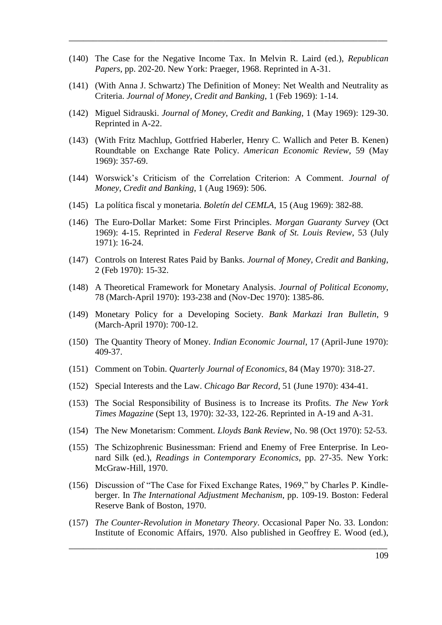(140) The Case for the Negative Income Tax. In Melvin R. Laird (ed.), *Republican Papers*, pp. 202-20. New York: Praeger, 1968. Reprinted in A-31.

 $\mathcal{L}_\text{max}$  , and the contract of the contract of the contract of the contract of the contract of the contract of the contract of the contract of the contract of the contract of the contract of the contract of the contr

- (141) (With Anna J. Schwartz) The Definition of Money: Net Wealth and Neutrality as Criteria. *Journal of Money*, *Credit and Banking*, 1 (Feb 1969): 1-14.
- (142) Miguel Sidrauski. *Journal of Money*, *Credit and Banking*, 1 (May 1969): 129-30. Reprinted in A-22.
- (143) (With Fritz Machlup, Gottfried Haberler, Henry C. Wallich and Peter B. Kenen) Roundtable on Exchange Rate Policy. *American Economic Review*, 59 (May 1969): 357-69.
- (144) Worswick's Criticism of the Correlation Criterion: A Comment. *Journal of Money*, *Credit and Banking*, 1 (Aug 1969): 506.
- (145) La política fiscal y monetaria. *Boletín del CEMLA*, 15 (Aug 1969): 382-88.
- (146) The Euro-Dollar Market: Some First Principles. *Morgan Guaranty Survey* (Oct 1969): 4-15. Reprinted in *Federal Reserve Bank of St. Louis Review*, 53 (July 1971): 16-24.
- (147) Controls on Interest Rates Paid by Banks. *Journal of Money, Credit and Banking*, 2 (Feb 1970): 15-32.
- (148) A Theoretical Framework for Monetary Analysis. *Journal of Political Economy*, 78 (March-April 1970): 193-238 and (Nov-Dec 1970): 1385-86.
- (149) Monetary Policy for a Developing Society. *Bank Markazi Iran Bulletin*, 9 (March-April 1970): 700-12.
- (150) The Quantity Theory of Money. *Indian Economic Journal*, 17 (April-June 1970): 409-37.
- (151) Comment on Tobin. *Quarterly Journal of Economics*, 84 (May 1970): 318-27.
- (152) Special Interests and the Law. *Chicago Bar Record*, 51 (June 1970): 434-41.
- (153) The Social Responsibility of Business is to Increase its Profits. *The New York Times Magazine* (Sept 13, 1970): 32-33, 122-26. Reprinted in A-19 and A-31.
- (154) The New Monetarism: Comment. *Lloyds Bank Review*, No. 98 (Oct 1970): 52-53.
- (155) The Schizophrenic Businessman: Friend and Enemy of Free Enterprise. In Leonard Silk (ed.), *Readings in Contemporary Economics*, pp. 27-35. New York: McGraw-Hill, 1970.
- (156) Discussion of "The Case for Fixed Exchange Rates, 1969," by Charles P. Kindleberger. In *The International Adjustment Mechanism*, pp. 109-19. Boston: Federal Reserve Bank of Boston, 1970.
- (157) *The Counter-Revolution in Monetary Theory*. Occasional Paper No. 33. London: Institute of Economic Affairs, 1970. Also published in Geoffrey E. Wood (ed.),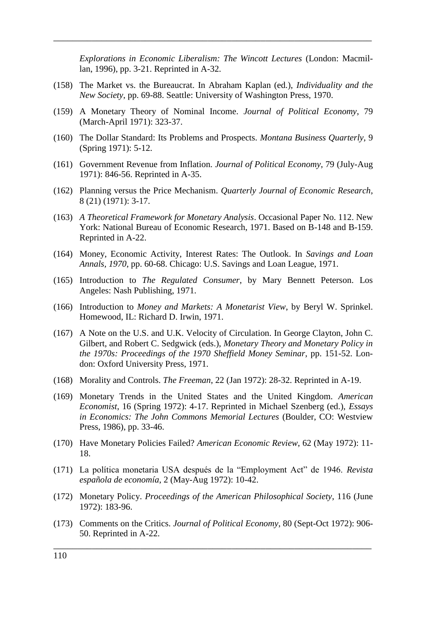*Explorations in Economic Liberalism: The Wincott Lectures* (London: Macmillan, 1996), pp. 3-21. Reprinted in A-32.

(158) The Market vs. the Bureaucrat. In Abraham Kaplan (ed.), *Individuality and the New Society*, pp. 69-88. Seattle: University of Washington Press, 1970.

 $\overline{\phantom{a}}$  , and the contract of the contract of the contract of the contract of the contract of the contract of the contract of the contract of the contract of the contract of the contract of the contract of the contrac

- (159) A Monetary Theory of Nominal Income. *Journal of Political Economy*, 79 (March-April 1971): 323-37.
- (160) The Dollar Standard: Its Problems and Prospects. *Montana Business Quarterly*, 9 (Spring 1971): 5-12.
- (161) Government Revenue from Inflation. *Journal of Political Economy*, 79 (July-Aug 1971): 846-56. Reprinted in A-35.
- (162) Planning versus the Price Mechanism. *Quarterly Journal of Economic Research*, 8 (21) (1971): 3-17.
- (163) *A Theoretical Framework for Monetary Analysis*. Occasional Paper No. 112. New York: National Bureau of Economic Research, 1971. Based on B-148 and B-159. Reprinted in A-22.
- (164) Money, Economic Activity, Interest Rates: The Outlook. In *Savings and Loan Annals, 1970*, pp. 60-68. Chicago: U.S. Savings and Loan League, 1971.
- (165) Introduction to *The Regulated Consumer*, by Mary Bennett Peterson. Los Angeles: Nash Publishing, 1971.
- (166) Introduction to *Money and Markets: A Monetarist View*, by Beryl W. Sprinkel. Homewood, IL: Richard D. Irwin, 1971.
- (167) A Note on the U.S. and U.K. Velocity of Circulation. In George Clayton, John C. Gilbert, and Robert C. Sedgwick (eds.), *Monetary Theory and Monetary Policy in the 1970s: Proceedings of the 1970 Sheffield Money Seminar*, pp. 151-52. London: Oxford University Press, 1971.
- (168) Morality and Controls. *The Freeman*, 22 (Jan 1972): 28-32. Reprinted in A-19.
- (169) Monetary Trends in the United States and the United Kingdom. *American Economist*, 16 (Spring 1972): 4-17. Reprinted in Michael Szenberg (ed.), *Essays in Economics: The John Commons Memorial Lectures* (Boulder, CO: Westview Press, 1986), pp. 33-46.
- (170) Have Monetary Policies Failed? *American Economic Review*, 62 (May 1972): 11- 18.
- (171) La política monetaria USA después de la ―Employment Act‖ de 1946. *Revista española de economía*, 2 (May-Aug 1972): 10-42.
- (172) Monetary Policy. *Proceedings of the American Philosophical Society*, 116 (June 1972): 183-96.
- (173) Comments on the Critics. *Journal of Political Economy*, 80 (Sept-Oct 1972): 906- 50. Reprinted in A-22.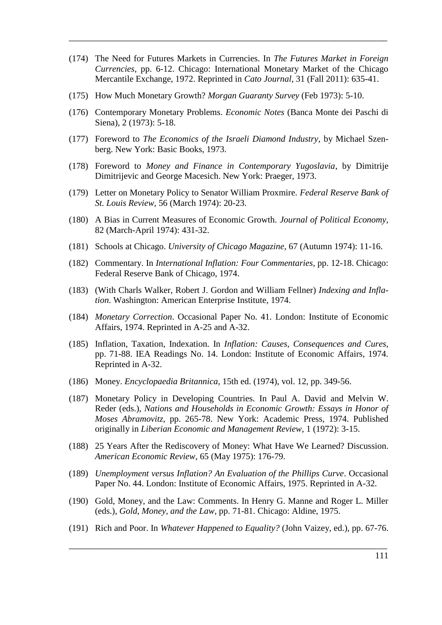(174) The Need for Futures Markets in Currencies. In *The Futures Market in Foreign Currencies*, pp. 6-12. Chicago: International Monetary Market of the Chicago Mercantile Exchange, 1972. Reprinted in *Cato Journal*, 31 (Fall 2011): 635-41.

 $\mathcal{L}_\text{max}$  , and the contract of the contract of the contract of the contract of the contract of the contract of the contract of the contract of the contract of the contract of the contract of the contract of the contr

- (175) How Much Monetary Growth? *Morgan Guaranty Survey* (Feb 1973): 5-10.
- (176) Contemporary Monetary Problems. *Economic Notes* (Banca Monte dei Paschi di Siena), 2 (1973): 5-18.
- (177) Foreword to *The Economics of the Israeli Diamond Industry*, by Michael Szenberg. New York: Basic Books, 1973.
- (178) Foreword to *Money and Finance in Contemporary Yugoslavia*, by Dimitrije Dimitrijevic and George Macesich. New York: Praeger, 1973.
- (179) Letter on Monetary Policy to Senator William Proxmire. *Federal Reserve Bank of St. Louis Review*, 56 (March 1974): 20-23.
- (180) A Bias in Current Measures of Economic Growth. *Journal of Political Economy*, 82 (March-April 1974): 431-32.
- (181) Schools at Chicago. *University of Chicago Magazine*, 67 (Autumn 1974): 11-16.
- (182) Commentary. In *International Inflation: Four Commentaries*, pp. 12-18. Chicago: Federal Reserve Bank of Chicago, 1974.
- (183) (With Charls Walker, Robert J. Gordon and William Fellner) *Indexing and Inflation*. Washington: American Enterprise Institute, 1974.
- (184) *Monetary Correction*. Occasional Paper No. 41. London: Institute of Economic Affairs, 1974. Reprinted in A-25 and A-32.
- (185) Inflation, Taxation, Indexation. In *Inflation: Causes, Consequences and Cures*, pp. 71-88. IEA Readings No. 14. London: Institute of Economic Affairs, 1974. Reprinted in A-32.
- (186) Money. *Encyclopaedia Britannica*, 15th ed. (1974), vol. 12, pp. 349-56.
- (187) Monetary Policy in Developing Countries. In Paul A. David and Melvin W. Reder (eds.), *Nations and Households in Economic Growth: Essays in Honor of Moses Abramovitz*, pp. 265-78. New York: Academic Press, 1974. Published originally in *Liberian Economic and Management Review*, 1 (1972): 3-15.
- (188) 25 Years After the Rediscovery of Money: What Have We Learned? Discussion. *American Economic Review*, 65 (May 1975): 176-79.
- (189) *Unemployment versus Inflation? An Evaluation of the Phillips Curve*. Occasional Paper No. 44. London: Institute of Economic Affairs, 1975. Reprinted in A-32.
- (190) Gold, Money, and the Law: Comments. In Henry G. Manne and Roger L. Miller (eds.), *Gold, Money, and the Law*, pp. 71-81. Chicago: Aldine, 1975.
- (191) Rich and Poor. In *Whatever Happened to Equality?* (John Vaizey, ed.), pp. 67-76.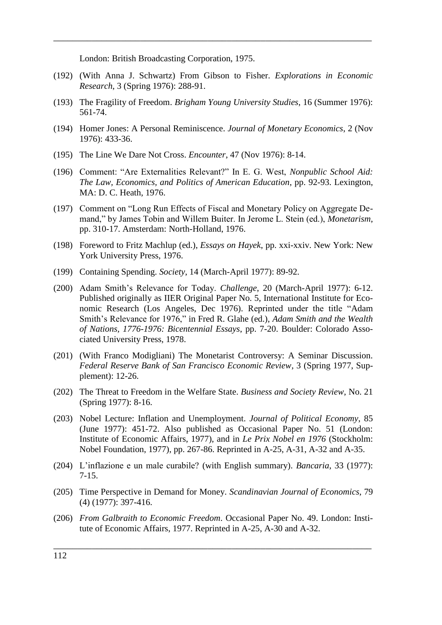London: British Broadcasting Corporation, 1975.

(192) (With Anna J. Schwartz) From Gibson to Fisher. *Explorations in Economic Research*, 3 (Spring 1976): 288-91.

 $\overline{\phantom{a}}$  , and the contract of the contract of the contract of the contract of the contract of the contract of the contract of the contract of the contract of the contract of the contract of the contract of the contrac

- (193) The Fragility of Freedom. *Brigham Young University Studies*, 16 (Summer 1976): 561-74.
- (194) Homer Jones: A Personal Reminiscence. *Journal of Monetary Economics*, 2 (Nov 1976): 433-36.
- (195) The Line We Dare Not Cross. *Encounter*, 47 (Nov 1976): 8-14.
- (196) Comment: ―Are Externalities Relevant?‖ In E. G. West, *Nonpublic School Aid: The Law, Economics, and Politics of American Education*, pp. 92-93. Lexington, MA: D. C. Heath, 1976.
- (197) Comment on "Long Run Effects of Fiscal and Monetary Policy on Aggregate Demand," by James Tobin and Willem Buiter. In Jerome L. Stein (ed.), *Monetarism*, pp. 310-17. Amsterdam: North-Holland, 1976.
- (198) Foreword to Fritz Machlup (ed.), *Essays on Hayek*, pp. xxi-xxiv. New York: New York University Press, 1976.
- (199) Containing Spending. *Society*, 14 (March-April 1977): 89-92.
- (200) Adam Smith's Relevance for Today. *Challenge*, 20 (March-April 1977): 6-12. Published originally as IIER Original Paper No. 5, International Institute for Economic Research (Los Angeles, Dec 1976). Reprinted under the title "Adam Smith's Relevance for 1976," in Fred R. Glahe (ed.), *Adam Smith and the Wealth of Nations, 1776-1976: Bicentennial Essays*, pp. 7-20. Boulder: Colorado Associated University Press, 1978.
- (201) (With Franco Modigliani) The Monetarist Controversy: A Seminar Discussion. *Federal Reserve Bank of San Francisco Economic Review*, 3 (Spring 1977, Supplement): 12-26.
- (202) The Threat to Freedom in the Welfare State. *Business and Society Review*, No. 21 (Spring 1977): 8-16.
- (203) Nobel Lecture: Inflation and Unemployment. *Journal of Political Economy*, 85 (June 1977): 451-72. Also published as Occasional Paper No. 51 (London: Institute of Economic Affairs, 1977), and in *Le Prix Nobel en 1976* (Stockholm: Nobel Foundation, 1977), pp. 267-86. Reprinted in A-25, A-31, A-32 and A-35.
- (204) L'inflazione e un male curabile? (with English summary). *Bancaria*, 33 (1977): 7-15.
- (205) Time Perspective in Demand for Money. *Scandinavian Journal of Economics*, 79 (4) (1977): 397-416.
- (206) *From Galbraith to Economic Freedom*. Occasional Paper No. 49. London: Institute of Economic Affairs, 1977. Reprinted in A-25, A-30 and A-32.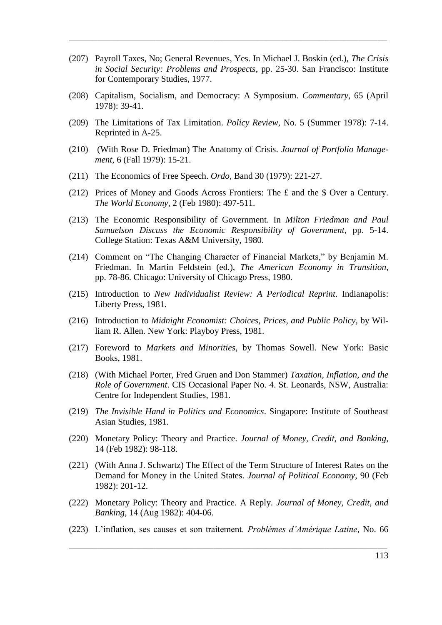(207) Payroll Taxes, No; General Revenues, Yes. In Michael J. Boskin (ed.), *The Crisis in Social Security: Problems and Prospects*, pp. 25-30. San Francisco: Institute for Contemporary Studies, 1977.

 $\mathcal{L}_\text{max}$  , and the contract of the contract of the contract of the contract of the contract of the contract of the contract of the contract of the contract of the contract of the contract of the contract of the contr

- (208) Capitalism, Socialism, and Democracy: A Symposium. *Commentary*, 65 (April 1978): 39-41.
- (209) The Limitations of Tax Limitation. *Policy Review*, No. 5 (Summer 1978): 7-14. Reprinted in A-25.
- (210) (With Rose D. Friedman) The Anatomy of Crisis. *Journal of Portfolio Management*, 6 (Fall 1979): 15-21.
- (211) The Economics of Free Speech. *Ordo*, Band 30 (1979): 221-27.
- (212) Prices of Money and Goods Across Frontiers: The £ and the \$ Over a Century. *The World Economy*, 2 (Feb 1980): 497-511.
- (213) The Economic Responsibility of Government. In *Milton Friedman and Paul Samuelson Discuss the Economic Responsibility of Government*, pp. 5-14. College Station: Texas A&M University, 1980.
- (214) Comment on "The Changing Character of Financial Markets," by Benjamin M. Friedman. In Martin Feldstein (ed.), *The American Economy in Transition*, pp. 78-86. Chicago: University of Chicago Press, 1980.
- (215) Introduction to *New Individualist Review: A Periodical Reprint*. Indianapolis: Liberty Press, 1981.
- (216) Introduction to *Midnight Economist: Choices, Prices, and Public Policy*, by William R. Allen. New York: Playboy Press, 1981.
- (217) Foreword to *Markets and Minorities*, by Thomas Sowell. New York: Basic Books, 1981.
- (218) (With Michael Porter, Fred Gruen and Don Stammer) *Taxation, Inflation, and the Role of Government*. CIS Occasional Paper No. 4. St. Leonards, NSW, Australia: Centre for Independent Studies, 1981.
- (219) *The Invisible Hand in Politics and Economics*. Singapore: Institute of Southeast Asian Studies, 1981.
- (220) Monetary Policy: Theory and Practice. *Journal of Money, Credit, and Banking*, 14 (Feb 1982): 98-118.
- (221) (With Anna J. Schwartz) The Effect of the Term Structure of Interest Rates on the Demand for Money in the United States. *Journal of Political Economy*, 90 (Feb 1982): 201-12.
- (222) Monetary Policy: Theory and Practice. A Reply. *Journal of Money, Credit, and Banking*, 14 (Aug 1982): 404-06.
- (223) L'inflation, ses causes et son traitement. *Problémes d'Amérique Latine*, No. 66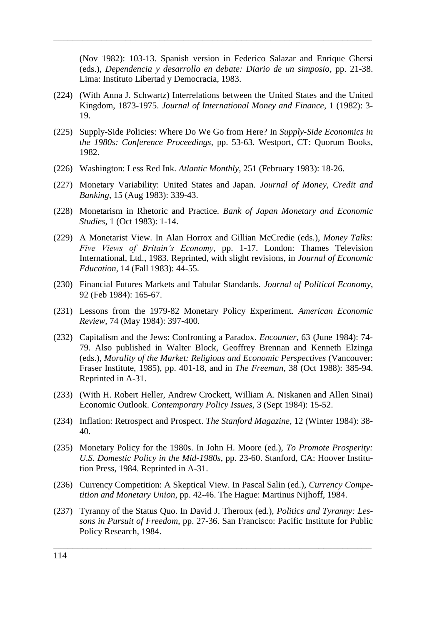(Nov 1982): 103-13. Spanish version in Federico Salazar and Enrique Ghersi (eds.), *Dependencia y desarrollo en debate: Diario de un simposio*, pp. 21-38. Lima: Instituto Libertad y Democracia, 1983.

(224) (With Anna J. Schwartz) Interrelations between the United States and the United Kingdom, 1873-1975. *Journal of International Money and Finance*, 1 (1982): 3- 19.

 $\overline{\phantom{a}}$  , and the contract of the contract of the contract of the contract of the contract of the contract of the contract of the contract of the contract of the contract of the contract of the contract of the contrac

- (225) Supply-Side Policies: Where Do We Go from Here? In *Supply-Side Economics in the 1980s: Conference Proceedings*, pp. 53-63. Westport, CT: Quorum Books, 1982.
- (226) Washington: Less Red Ink. *Atlantic Monthly*, 251 (February 1983): 18-26.
- (227) Monetary Variability: United States and Japan. *Journal of Money, Credit and Banking*, 15 (Aug 1983): 339-43.
- (228) Monetarism in Rhetoric and Practice. *Bank of Japan Monetary and Economic Studies*, 1 (Oct 1983): 1-14.
- (229) A Monetarist View. In Alan Horrox and Gillian McCredie (eds.), *Money Talks: Five Views of Britain's Economy*, pp. 1-17. London: Thames Television International, Ltd., 1983. Reprinted, with slight revisions, in *Journal of Economic Education*, 14 (Fall 1983): 44-55.
- (230) Financial Futures Markets and Tabular Standards. *Journal of Political Economy*, 92 (Feb 1984): 165-67.
- (231) Lessons from the 1979-82 Monetary Policy Experiment. *American Economic Review*, 74 (May 1984): 397-400.
- (232) Capitalism and the Jews: Confronting a Paradox. *Encounter*, 63 (June 1984): 74- 79. Also published in Walter Block, Geoffrey Brennan and Kenneth Elzinga (eds.), *Morality of the Market: Religious and Economic Perspectives* (Vancouver: Fraser Institute, 1985), pp. 401-18, and in *The Freeman*, 38 (Oct 1988): 385-94. Reprinted in A-31.
- (233) (With H. Robert Heller, Andrew Crockett, William A. Niskanen and Allen Sinai) Economic Outlook. *Contemporary Policy Issues*, 3 (Sept 1984): 15-52.
- (234) Inflation: Retrospect and Prospect. *The Stanford Magazine*, 12 (Winter 1984): 38- 40.
- (235) Monetary Policy for the 1980s. In John H. Moore (ed.), *To Promote Prosperity: U.S. Domestic Policy in the Mid-1980s*, pp. 23-60. Stanford, CA: Hoover Institution Press, 1984. Reprinted in A-31.
- (236) Currency Competition: A Skeptical View. In Pascal Salin (ed.), *Currency Competition and Monetary Union*, pp. 42-46. The Hague: Martinus Nijhoff, 1984.
- (237) Tyranny of the Status Quo. In David J. Theroux (ed.), *Politics and Tyranny: Lessons in Pursuit of Freedom*, pp. 27-36. San Francisco: Pacific Institute for Public Policy Research, 1984.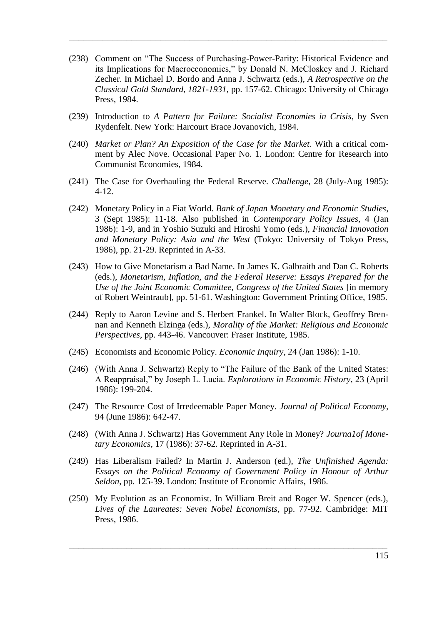(238) Comment on "The Success of Purchasing-Power-Parity: Historical Evidence and its Implications for Macroeconomics," by Donald N. McCloskey and J. Richard Zecher. In Michael D. Bordo and Anna J. Schwartz (eds.), *A Retrospective on the Classical Gold Standard, 1821-1931*, pp. 157-62. Chicago: University of Chicago Press, 1984.

 $\mathcal{L}_\text{max}$  , and the contract of the contract of the contract of the contract of the contract of the contract of the contract of the contract of the contract of the contract of the contract of the contract of the contr

- (239) Introduction to *A Pattern for Failure: Socialist Economies in Crisis*, by Sven Rydenfelt. New York: Harcourt Brace Jovanovich, 1984.
- (240) *Market or Plan? An Exposition of the Case for the Market*. With a critical comment by Alec Nove. Occasional Paper No. 1. London: Centre for Research into Communist Economies, 1984.
- (241) The Case for Overhauling the Federal Reserve. *Challenge*, 28 (July-Aug 1985): 4-12.
- (242) Monetary Policy in a Fiat World. *Bank of Japan Monetary and Economic Studies*, 3 (Sept 1985): 11-18. Also published in *Contemporary Policy Issues*, 4 (Jan 1986): 1-9, and in Yoshio Suzuki and Hiroshi Yomo (eds.), *Financial Innovation and Monetary Policy: Asia and the West* (Tokyo: University of Tokyo Press, 1986), pp. 21-29. Reprinted in A-33.
- (243) How to Give Monetarism a Bad Name. In James K. Galbraith and Dan C. Roberts (eds.), *Monetarism, Inflation, and the Federal Reserve: Essays Prepared for the Use of the Joint Economic Committee, Congress of the United States* [in memory of Robert Weintraub], pp. 51-61. Washington: Government Printing Office, 1985.
- (244) Reply to Aaron Levine and S. Herbert Frankel. In Walter Block, Geoffrey Brennan and Kenneth Elzinga (eds.), *Morality of the Market: Religious and Economic Perspectives*, pp. 443-46. Vancouver: Fraser Institute, 1985.
- (245) Economists and Economic Policy. *Economic Inquiry*, 24 (Jan 1986): 1-10.
- (246) (With Anna J. Schwartz) Reply to "The Failure of the Bank of the United States: A Reappraisal,‖ by Joseph L. Lucia. *Explorations in Economic History*, 23 (April 1986): 199-204.
- (247) The Resource Cost of Irredeemable Paper Money. *Journal of Political Economy*, 94 (June 1986): 642-47.
- (248) (With Anna J. Schwartz) Has Government Any Role in Money? *Journa1of Monetary Economics*, 17 (1986): 37-62. Reprinted in A-31.
- (249) Has Liberalism Failed? In Martin J. Anderson (ed.), *The Unfinished Agenda: Essays on the Political Economy of Government Policy in Honour of Arthur Seldon*, pp. 125-39. London: Institute of Economic Affairs, 1986.
- (250) My Evolution as an Economist. In William Breit and Roger W. Spencer (eds.), *Lives of the Laureates: Seven Nobel Economists*, pp. 77-92. Cambridge: MIT Press, 1986.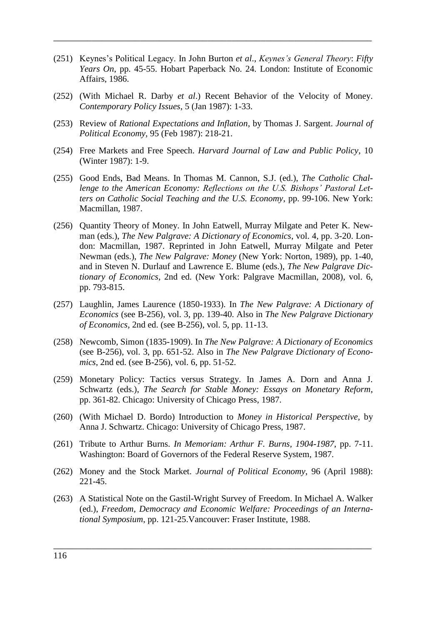(251) Keynes's Political Legacy. In John Burton *et al*., *Keynes's General Theory*: *Fifty Years On*, pp. 45-55. Hobart Paperback No. 24. London: Institute of Economic Affairs, 1986.

 $\overline{\phantom{a}}$  , and the contract of the contract of the contract of the contract of the contract of the contract of the contract of the contract of the contract of the contract of the contract of the contract of the contrac

- (252) (With Michael R. Darby *et al*.) Recent Behavior of the Velocity of Money. *Contemporary Policy Issues*, 5 (Jan 1987): 1-33.
- (253) Review of *Rational Expectations and Inflation*, by Thomas J. Sargent. *Journal of Political Economy*, 95 (Feb 1987): 218-21.
- (254) Free Markets and Free Speech. *Harvard Journal of Law and Public Policy*, 10 (Winter 1987): 1-9.
- (255) Good Ends, Bad Means. In Thomas M. Cannon, S.J. (ed.), *The Catholic Challenge to the American Economy: Reflections on the U.S. Bishops' Pastoral Letters on Catholic Social Teaching and the U.S. Economy*, pp. 99-106. New York: Macmillan, 1987.
- (256) Quantity Theory of Money. In John Eatwell, Murray Milgate and Peter K. Newman (eds.), *The New Palgrave: A Dictionary of Economics*, vol. 4, pp. 3-20. London: Macmillan, 1987. Reprinted in John Eatwell, Murray Milgate and Peter Newman (eds.), *The New Palgrave: Money* (New York: Norton, 1989), pp. 1-40*,*  and in Steven N. Durlauf and Lawrence E. Blume (eds.), *The New Palgrave Dictionary of Economics*, 2nd ed. (New York: Palgrave Macmillan, 2008), vol. 6, pp. 793-815.
- (257) Laughlin, James Laurence (1850-1933). In *The New Palgrave: A Dictionary of Economics* (see B-256), vol. 3, pp. 139-40. Also in *The New Palgrave Dictionary of Economics*, 2nd ed. (see B-256), vol. 5, pp. 11-13.
- (258) Newcomb, Simon (1835-1909). In *The New Palgrave: A Dictionary of Economics* (see B-256), vol. 3, pp. 651-52. Also in *The New Palgrave Dictionary of Economics*, 2nd ed. (see B-256), vol. 6, pp. 51-52.
- (259) Monetary Policy: Tactics versus Strategy. In James A. Dorn and Anna J. Schwartz (eds.), *The Search for Stable Money: Essays on Monetary Reform*, pp. 361-82. Chicago: University of Chicago Press, 1987.
- (260) (With Michael D. Bordo) Introduction to *Money in Historical Perspective*, by Anna J. Schwartz. Chicago: University of Chicago Press, 1987.
- (261) Tribute to Arthur Burns. *In Memoriam: Arthur F. Burns, 1904-1987*, pp. 7-11. Washington: Board of Governors of the Federal Reserve System, 1987.
- (262) Money and the Stock Market. *Journal of Political Economy*, 96 (April 1988): 221-45.
- (263) A Statistical Note on the Gastil-Wright Survey of Freedom. In Michael A. Walker (ed.), *Freedom, Democracy and Economic Welfare: Proceedings of an International Symposium*, pp. 121-25.Vancouver: Fraser Institute, 1988.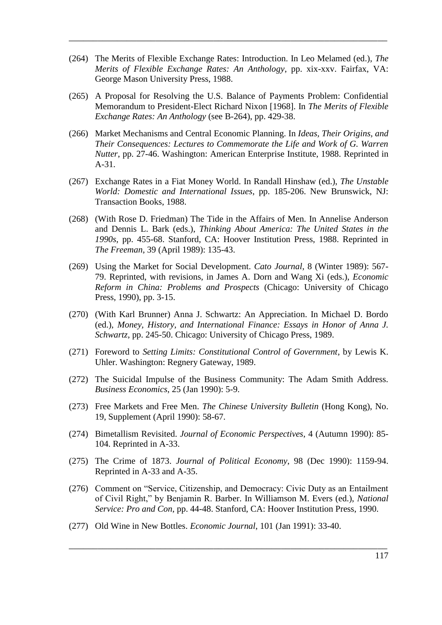(264) The Merits of Flexible Exchange Rates: Introduction. In Leo Melamed (ed.), *The Merits of Flexible Exchange Rates: An Anthology*, pp. xix-xxv. Fairfax, VA: George Mason University Press, 1988.

 $\mathcal{L}_\text{max}$  , and the contract of the contract of the contract of the contract of the contract of the contract of the contract of the contract of the contract of the contract of the contract of the contract of the contr

- (265) A Proposal for Resolving the U.S. Balance of Payments Problem: Confidential Memorandum to President-Elect Richard Nixon [1968]. In *The Merits of Flexible Exchange Rates: An Anthology* (see B-264), pp. 429-38.
- (266) Market Mechanisms and Central Economic Planning. In *Ideas, Their Origins, and Their Consequences: Lectures to Commemorate the Life and Work of G. Warren Nutter*, pp. 27-46. Washington: American Enterprise Institute, 1988. Reprinted in A-31.
- (267) Exchange Rates in a Fiat Money World. In Randall Hinshaw (ed.), *The Unstable World: Domestic and International Issues*, pp. 185-206. New Brunswick, NJ: Transaction Books, 1988.
- (268) (With Rose D. Friedman) The Tide in the Affairs of Men. In Annelise Anderson and Dennis L. Bark (eds.), *Thinking About America: The United States in the 1990s*, pp. 455-68. Stanford, CA: Hoover Institution Press, 1988. Reprinted in *The Freeman*, 39 (April 1989): 135-43.
- (269) Using the Market for Social Development. *Cato Journal*, 8 (Winter 1989): 567- 79. Reprinted, with revisions, in James A. Dorn and Wang Xi (eds.), *Economic Reform in China: Problems and Prospects* (Chicago: University of Chicago Press, 1990), pp. 3-15.
- (270) (With Karl Brunner) Anna J. Schwartz: An Appreciation. In Michael D. Bordo (ed.), *Money, History, and International Finance: Essays in Honor of Anna J. Schwartz*, pp. 245-50. Chicago: University of Chicago Press, 1989.
- (271) Foreword to *Setting Limits: Constitutional Control of Government*, by Lewis K. Uhler. Washington: Regnery Gateway, 1989.
- (272) The Suicidal Impulse of the Business Community: The Adam Smith Address. *Business Economics*, 25 (Jan 1990): 5-9.
- (273) Free Markets and Free Men. *The Chinese University Bulletin* (Hong Kong), No. 19, Supplement (April 1990): 58-67.
- (274) Bimetallism Revisited. *Journal of Economic Perspectives*, 4 (Autumn 1990): 85- 104. Reprinted in A-33.
- (275) The Crime of 1873. *Journal of Political Economy*, 98 (Dec 1990): 1159-94. Reprinted in A-33 and A-35.
- (276) Comment on "Service, Citizenship, and Democracy: Civic Duty as an Entailment of Civil Right," by Benjamin R. Barber. In Williamson M. Evers (ed.), *National Service: Pro and Con*, pp. 44-48. Stanford, CA: Hoover Institution Press, 1990.

 $\overline{\phantom{a}}$  , and the contract of the contract of the contract of the contract of the contract of the contract of the contract of the contract of the contract of the contract of the contract of the contract of the contrac

(277) Old Wine in New Bottles. *Economic Journal*, 101 (Jan 1991): 33-40.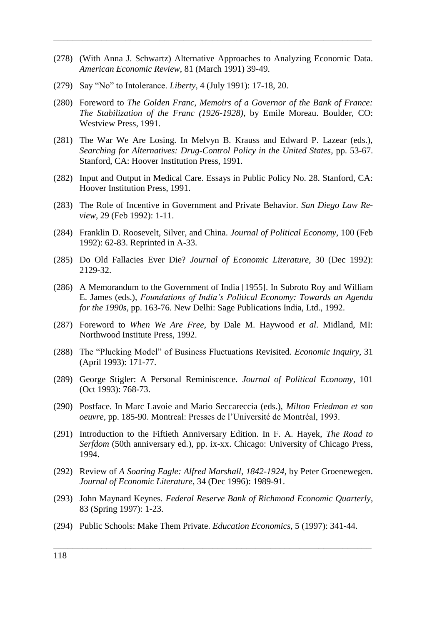(278) (With Anna J. Schwartz) Alternative Approaches to Analyzing Economic Data. *American Economic Review*, 81 (March 1991) 39-49.

 $\overline{\phantom{a}}$  , and the contract of the contract of the contract of the contract of the contract of the contract of the contract of the contract of the contract of the contract of the contract of the contract of the contrac

- (279) Say "No" to Intolerance. *Liberty*, 4 (July 1991): 17-18, 20.
- (280) Foreword to *The Golden Franc, Memoirs of a Governor of the Bank of France: The Stabilization of the Franc (1926-1928)*, by Emile Moreau. Boulder, CO: Westview Press, 1991.
- (281) The War We Are Losing. In Melvyn B. Krauss and Edward P. Lazear (eds.), *Searching for Alternatives: Drug-Control Policy in the United States*, pp. 53-67. Stanford, CA: Hoover Institution Press, 1991.
- (282) Input and Output in Medical Care. Essays in Public Policy No. 28. Stanford, CA: Hoover Institution Press, 1991.
- (283) The Role of Incentive in Government and Private Behavior. *San Diego Law Review*, 29 (Feb 1992): 1-11.
- (284) Franklin D. Roosevelt, Silver, and China. *Journal of Political Economy*, 100 (Feb 1992): 62-83. Reprinted in A-33.
- (285) Do Old Fallacies Ever Die? *Journal of Economic Literature*, 30 (Dec 1992): 2129-32.
- (286) A Memorandum to the Government of India [1955]. In Subroto Roy and William E. James (eds.), *Foundations of India's Political Economy: Towards an Agenda for the 1990s*, pp. 163-76. New Delhi: Sage Publications India, Ltd., 1992.
- (287) Foreword to *When We Are Free*, by Dale M. Haywood *et al*. Midland, MI: Northwood Institute Press, 1992.
- (288) The "Plucking Model" of Business Fluctuations Revisited. *Economic Inquiry*, 31 (April 1993): 171-77.
- (289) George Stigler: A Personal Reminiscence. *Journal of Political Economy*, 101 (Oct 1993): 768-73.
- (290) Postface. In Marc Lavoie and Mario Seccareccia (eds.), *Milton Friedman et son oeuvre*, pp. 185-90. Montreal: Presses de l'Université de Montréal, 1993.
- (291) Introduction to the Fiftieth Anniversary Edition. In F. A. Hayek, *The Road to Serfdom* (50th anniversary ed.), pp. ix-xx. Chicago: University of Chicago Press, 1994.
- (292) Review of *A Soaring Eagle: Alfred Marshall, 1842-1924*, by Peter Groenewegen. *Journal of Economic Literature*, 34 (Dec 1996): 1989-91.
- (293) John Maynard Keynes. *Federal Reserve Bank of Richmond Economic Quarterly*, 83 (Spring 1997): 1-23.

 $\overline{\phantom{a}}$  , and the contract of the contract of the contract of the contract of the contract of the contract of the contract of the contract of the contract of the contract of the contract of the contract of the contrac

(294) Public Schools: Make Them Private. *Education Economics*, 5 (1997): 341-44.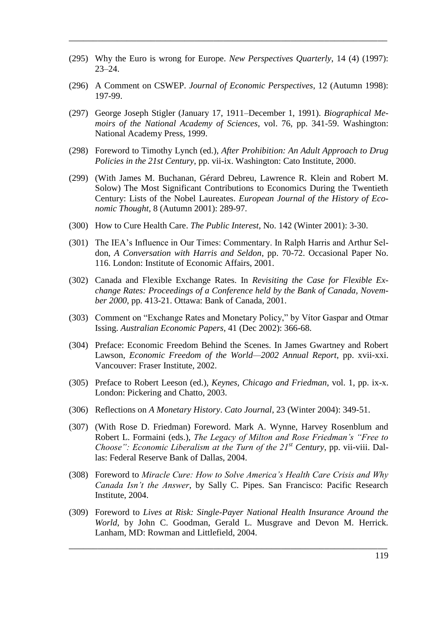(295) Why the Euro is wrong for Europe. *New Perspectives Quarterly*, 14 (4) (1997): 23–24.

 $\mathcal{L}_\text{max}$  , and the contract of the contract of the contract of the contract of the contract of the contract of the contract of the contract of the contract of the contract of the contract of the contract of the contr

- (296) A Comment on CSWEP. *Journal of Economic Perspectives*, 12 (Autumn 1998): 197-99.
- (297) George Joseph Stigler (January 17, 1911–December 1, 1991). *Biographical Memoirs of the National Academy of Sciences*, vol. 76, pp. 341-59. Washington: National Academy Press, 1999.
- (298) Foreword to Timothy Lynch (ed.), *After Prohibition: An Adult Approach to Drug Policies in the 21st Century*, pp. vii-ix. Washington: Cato Institute, 2000.
- (299) (With James M. Buchanan, Gérard Debreu, Lawrence R. Klein and Robert M. Solow) The Most Significant Contributions to Economics During the Twentieth Century: Lists of the Nobel Laureates. *European Journal of the History of Economic Thought*, 8 (Autumn 2001): 289-97.
- (300) How to Cure Health Care. *The Public Interest*, No. 142 (Winter 2001): 3-30.
- (301) The IEA's Influence in Our Times: Commentary. In Ralph Harris and Arthur Seldon, *A Conversation with Harris and Seldon*, pp. 70-72. Occasional Paper No. 116. London: Institute of Economic Affairs, 2001.
- (302) Canada and Flexible Exchange Rates. In *Revisiting the Case for Flexible Exchange Rates: Proceedings of a Conference held by the Bank of Canada, November 2000*, pp. 413-21. Ottawa: Bank of Canada, 2001.
- (303) Comment on "Exchange Rates and Monetary Policy," by Vítor Gaspar and Otmar Issing. *Australian Economic Papers*, 41 (Dec 2002): 366-68.
- (304) Preface: Economic Freedom Behind the Scenes. In James Gwartney and Robert Lawson, *Economic Freedom of the World—2002 Annual Report*, pp. xvii-xxi. Vancouver: Fraser Institute, 2002.
- (305) Preface to Robert Leeson (ed.), *Keynes, Chicago and Friedman*, vol. 1, pp. ix-x. London: Pickering and Chatto, 2003.
- (306) Reflections on *A Monetary History*. *Cato Journal*, 23 (Winter 2004): 349-51.
- (307) (With Rose D. Friedman) Foreword. Mark A. Wynne, Harvey Rosenblum and Robert L. Formaini (eds.), *The Legacy of Milton and Rose Friedman's "Free to Choose": Economic Liberalism at the Turn of the 21st Century*, pp. vii-viii. Dallas: Federal Reserve Bank of Dallas, 2004.
- (308) Foreword to *Miracle Cure: How to Solve America's Health Care Crisis and Why Canada Isn't the Answer*, by Sally C. Pipes. San Francisco: Pacific Research Institute, 2004.
- (309) Foreword to *Lives at Risk: Single-Payer National Health Insurance Around the World*, by John C. Goodman, Gerald L. Musgrave and Devon M. Herrick. Lanham, MD: Rowman and Littlefield, 2004.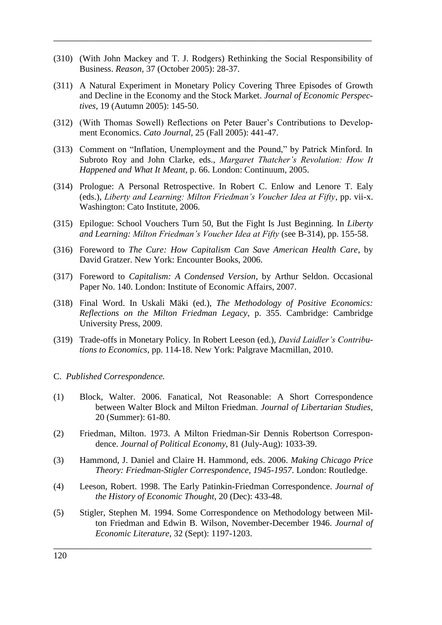(310) (With John Mackey and T. J. Rodgers) Rethinking the Social Responsibility of Business. *Reason*, 37 (October 2005): 28-37.

 $\overline{\phantom{a}}$  , and the contract of the contract of the contract of the contract of the contract of the contract of the contract of the contract of the contract of the contract of the contract of the contract of the contrac

- (311) A Natural Experiment in Monetary Policy Covering Three Episodes of Growth and Decline in the Economy and the Stock Market. *Journal of Economic Perspectives*, 19 (Autumn 2005): 145-50.
- (312) (With Thomas Sowell) Reflections on Peter Bauer's Contributions to Development Economics. *Cato Journal*, 25 (Fall 2005): 441-47.
- (313) Comment on "Inflation, Unemployment and the Pound," by Patrick Minford. In Subroto Roy and John Clarke, eds., *Margaret Thatcher's Revolution: How It Happened and What It Meant*, p. 66. London: Continuum, 2005.
- (314) Prologue: A Personal Retrospective. In Robert C. Enlow and Lenore T. Ealy (eds.), *Liberty and Learning: Milton Friedman's Voucher Idea at Fifty*, pp. vii-x. Washington: Cato Institute, 2006.
- (315) Epilogue: School Vouchers Turn 50, But the Fight Is Just Beginning. In *Liberty and Learning: Milton Friedman's Voucher Idea at Fifty* (see B-314), pp. 155-58.
- (316) Foreword to *The Cure: How Capitalism Can Save American Health Care*, by David Gratzer. New York: Encounter Books, 2006.
- (317) Foreword to *Capitalism: A Condensed Version*, by Arthur Seldon. Occasional Paper No. 140. London: Institute of Economic Affairs, 2007.
- (318) Final Word. In Uskali Mäki (ed.), *The Methodology of Positive Economics: Reflections on the Milton Friedman Legacy*, p. 355. Cambridge: Cambridge University Press, 2009.
- (319) Trade-offs in Monetary Policy. In Robert Leeson (ed.), *David Laidler's Contributions to Economics*, pp. 114-18. New York: Palgrave Macmillan, 2010.
- C. *Published Correspondence.*
- (1) Block, Walter. 2006. Fanatical, Not Reasonable: A Short Correspondence between Walter Block and Milton Friedman. *Journal of Libertarian Studies*, 20 (Summer): 61-80.
- (2) Friedman, Milton. 1973. A Milton Friedman-Sir Dennis Robertson Correspondence. *Journal of Political Economy*, 81 (July-Aug): 1033-39.
- (3) Hammond, J. Daniel and Claire H. Hammond, eds. 2006. *Making Chicago Price Theory: Friedman-Stigler Correspondence, 1945-1957*. London: Routledge.
- (4) Leeson, Robert. 1998. The Early Patinkin-Friedman Correspondence. *Journal of the History of Economic Thought*, 20 (Dec): 433-48.
- (5) Stigler, Stephen M. 1994. Some Correspondence on Methodology between Milton Friedman and Edwin B. Wilson, November-December 1946. *Journal of Economic Literature*, 32 (Sept): 1197-1203.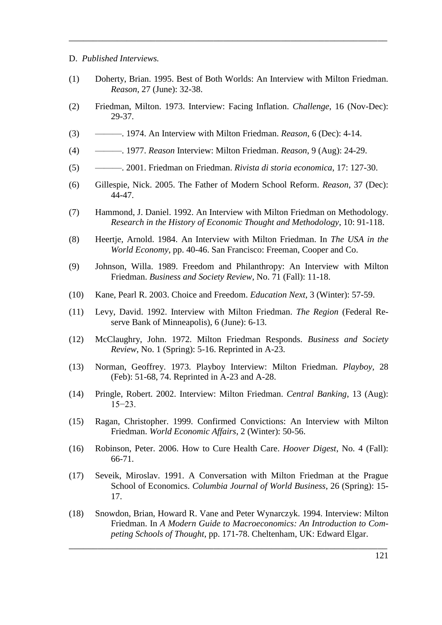## D. *Published Interviews.*

(1) Doherty, Brian. 1995. Best of Both Worlds: An Interview with Milton Friedman. *Reason*, 27 (June): 32-38.

 $\mathcal{L}_\text{max}$  , and the contract of the contract of the contract of the contract of the contract of the contract of the contract of the contract of the contract of the contract of the contract of the contract of the contr

- (2) Friedman, Milton. 1973. Interview: Facing Inflation. *Challenge*, 16 (Nov-Dec): 29-37.
- (3) ———. 1974. An Interview with Milton Friedman. *Reason*, 6 (Dec): 4-14.
- (4) ———. 1977. *Reason* Interview: Milton Friedman. *Reason*, 9 (Aug): 24-29.
- (5) ———. 2001. Friedman on Friedman. *Rivista di storia economica*, 17: 127-30.
- (6) Gillespie, Nick. 2005. The Father of Modern School Reform. *Reason*, 37 (Dec): 44-47.
- (7) Hammond, J. Daniel. 1992. An Interview with Milton Friedman on Methodology. *Research in the History of Economic Thought and Methodology*, 10: 91-118.
- (8) Heertje, Arnold. 1984. An Interview with Milton Friedman. In *The USA in the World Economy*, pp. 40-46. San Francisco: Freeman, Cooper and Co.
- (9) Johnson, Willa. 1989. Freedom and Philanthropy: An Interview with Milton Friedman. *Business and Society Review*, No. 71 (Fall): 11-18.
- (10) Kane, Pearl R. 2003. Choice and Freedom. *Education Next*, 3 (Winter): 57-59.
- (11) Levy, David. 1992. Interview with Milton Friedman. *The Region* (Federal Reserve Bank of Minneapolis), 6 (June): 6-13.
- (12) McClaughry, John. 1972. Milton Friedman Responds. *Business and Society Review*, No. 1 (Spring): 5-16. Reprinted in A-23.
- (13) Norman, Geoffrey. 1973. Playboy Interview: Milton Friedman. *Playboy*, 28 (Feb): 51-68, 74. Reprinted in A-23 and A-28.
- (14) Pringle, Robert. 2002. Interview: Milton Friedman. *Central Banking*, 13 (Aug): 15−23.
- (15) Ragan, Christopher. 1999. Confirmed Convictions: An Interview with Milton Friedman. *World Economic Affairs*, 2 (Winter): 50-56.
- (16) Robinson, Peter. 2006. How to Cure Health Care. *Hoover Digest*, No. 4 (Fall): 66-71.
- (17) Seveik, Miroslav. 1991. A Conversation with Milton Friedman at the Prague School of Economics. *Columbia Journal of World Business*, 26 (Spring): 15- 17.
- (18) Snowdon, Brian, Howard R. Vane and Peter Wynarczyk. 1994. Interview: Milton Friedman. In *A Modern Guide to Macroeconomics: An Introduction to Competing Schools of Thought*, pp. 171-78. Cheltenham, UK: Edward Elgar.